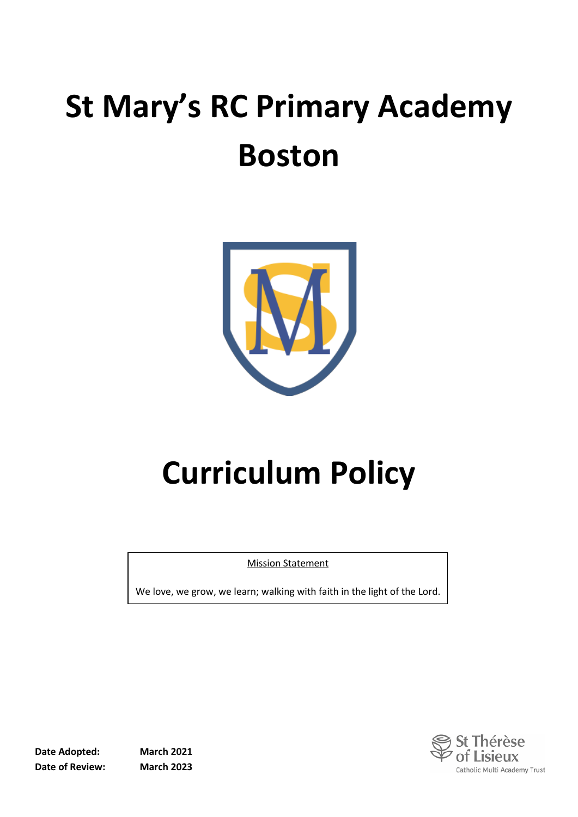# **St Mary's RC Primary Academy Boston**



# **Curriculum Policy**

Mission Statement

We love, we grow, we learn; walking with faith in the light of the Lord.

**Date Adopted: March 2021 Date of Review: March 2023**

èse of Lisieux Catholic Multi Academy Trust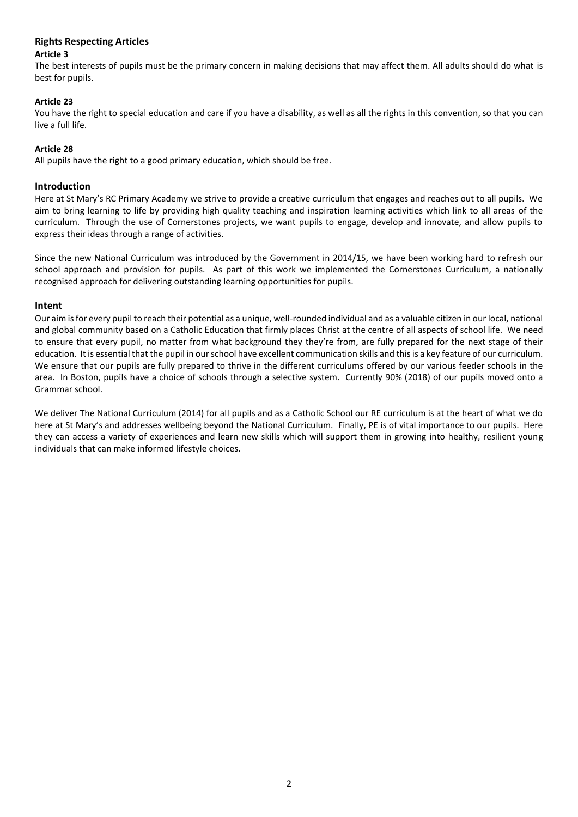### **Rights Respecting Articles**

#### **Article 3**

The best interests of pupils must be the primary concern in making decisions that may affect them. All adults should do what is best for pupils.

#### **Article 23**

You have the right to special education and care if you have a disability, as well as all the rights in this convention, so that you can live a full life.

#### **Article 28**

All pupils have the right to a good primary education, which should be free.

#### **Introduction**

Here at St Mary's RC Primary Academy we strive to provide a creative curriculum that engages and reaches out to all pupils. We aim to bring learning to life by providing high quality teaching and inspiration learning activities which link to all areas of the curriculum. Through the use of Cornerstones projects, we want pupils to engage, develop and innovate, and allow pupils to express their ideas through a range of activities.

Since the new National Curriculum was introduced by the Government in 2014/15, we have been working hard to refresh our school approach and provision for pupils. As part of this work we implemented the Cornerstones Curriculum, a nationally recognised approach for delivering outstanding learning opportunities for pupils.

#### **Intent**

Our aim is for every pupil to reach their potential as a unique, well-rounded individual and as a valuable citizen in our local, national and global community based on a Catholic Education that firmly places Christ at the centre of all aspects of school life. We need to ensure that every pupil, no matter from what background they they're from, are fully prepared for the next stage of their education. It is essential that the pupil in our school have excellent communication skills and this is a key feature of our curriculum. We ensure that our pupils are fully prepared to thrive in the different curriculums offered by our various feeder schools in the area. In Boston, pupils have a choice of schools through a selective system. Currently 90% (2018) of our pupils moved onto a Grammar school.

We deliver The National Curriculum (2014) for all pupils and as a Catholic School our RE curriculum is at the heart of what we do here at St Mary's and addresses wellbeing beyond the National Curriculum. Finally, PE is of vital importance to our pupils. Here they can access a variety of experiences and learn new skills which will support them in growing into healthy, resilient young individuals that can make informed lifestyle choices.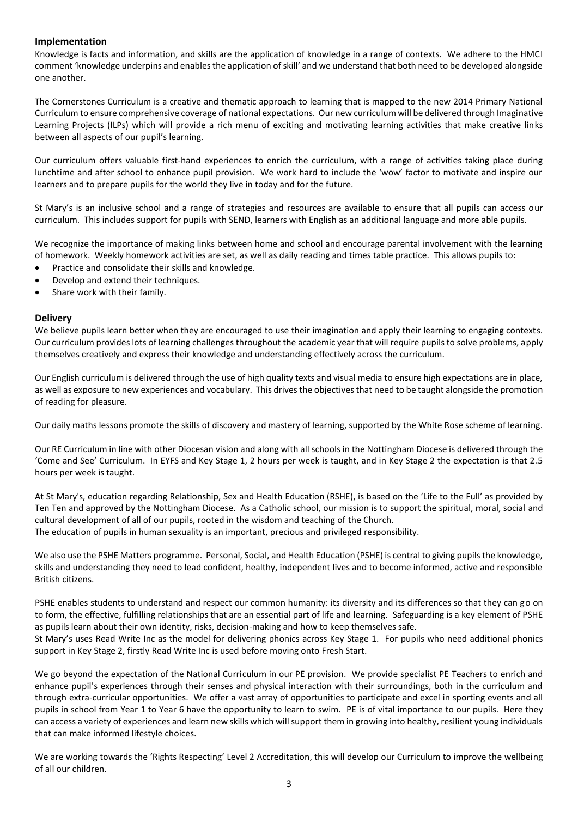#### **Implementation**

Knowledge is facts and information, and skills are the application of knowledge in a range of contexts. We adhere to the HMCI comment 'knowledge underpins and enables the application of skill' and we understand that both need to be developed alongside one another.

The Cornerstones Curriculum is a creative and thematic approach to learning that is mapped to the new 2014 Primary National Curriculum to ensure comprehensive coverage of national expectations. Our new curriculum will be delivered through Imaginative Learning Projects (ILPs) which will provide a rich menu of exciting and motivating learning activities that make creative links between all aspects of our pupil's learning.

Our curriculum offers valuable first-hand experiences to enrich the curriculum, with a range of activities taking place during lunchtime and after school to enhance pupil provision. We work hard to include the 'wow' factor to motivate and inspire our learners and to prepare pupils for the world they live in today and for the future.

St Mary's is an inclusive school and a range of strategies and resources are available to ensure that all pupils can access our curriculum. This includes support for pupils with SEND, learners with English as an additional language and more able pupils.

We recognize the importance of making links between home and school and encourage parental involvement with the learning of homework. Weekly homework activities are set, as well as daily reading and times table practice. This allows pupils to:

- Practice and consolidate their skills and knowledge.
- Develop and extend their techniques.
- Share work with their family.

#### **Delivery**

We believe pupils learn better when they are encouraged to use their imagination and apply their learning to engaging contexts. Our curriculum provides lots of learning challenges throughout the academic year that will require pupils to solve problems, apply themselves creatively and express their knowledge and understanding effectively across the curriculum.

Our English curriculum is delivered through the use of high quality texts and visual media to ensure high expectations are in place, as well as exposure to new experiences and vocabulary. This drives the objectives that need to be taught alongside the promotion of reading for pleasure.

Our daily maths lessons promote the skills of discovery and mastery of learning, supported by the White Rose scheme of learning.

Our RE Curriculum in line with other Diocesan vision and along with all schools in the Nottingham Diocese is delivered through the 'Come and See' Curriculum. In EYFS and Key Stage 1, 2 hours per week is taught, and in Key Stage 2 the expectation is that 2.5 hours per week is taught.

At St Mary's, education regarding Relationship, Sex and Health Education (RSHE), is based on the 'Life to the Full' as provided by Ten Ten and approved by the Nottingham Diocese. As a Catholic school, our mission is to support the spiritual, moral, social and cultural development of all of our pupils, rooted in the wisdom and teaching of the Church. The education of pupils in human sexuality is an important, precious and privileged responsibility.

We also use the PSHE Matters programme. Personal, Social, and Health Education (PSHE) is central to giving pupils the knowledge, skills and understanding they need to lead confident, healthy, independent lives and to become informed, active and responsible British citizens.

PSHE enables students to understand and respect our common humanity: its diversity and its differences so that they can go on to form, the effective, fulfilling relationships that are an essential part of life and learning. Safeguarding is a key element of PSHE as pupils learn about their own identity, risks, decision-making and how to keep themselves safe.

St Mary's uses Read Write Inc as the model for delivering phonics across Key Stage 1. For pupils who need additional phonics support in Key Stage 2, firstly Read Write Inc is used before moving onto Fresh Start.

We go beyond the expectation of the National Curriculum in our PE provision. We provide specialist PE Teachers to enrich and enhance pupil's experiences through their senses and physical interaction with their surroundings, both in the curriculum and through extra-curricular opportunities. We offer a vast array of opportunities to participate and excel in sporting events and all pupils in school from Year 1 to Year 6 have the opportunity to learn to swim. PE is of vital importance to our pupils. Here they can access a variety of experiences and learn new skills which will support them in growing into healthy, resilient young individuals that can make informed lifestyle choices.

We are working towards the 'Rights Respecting' Level 2 Accreditation, this will develop our Curriculum to improve the wellbeing of all our children.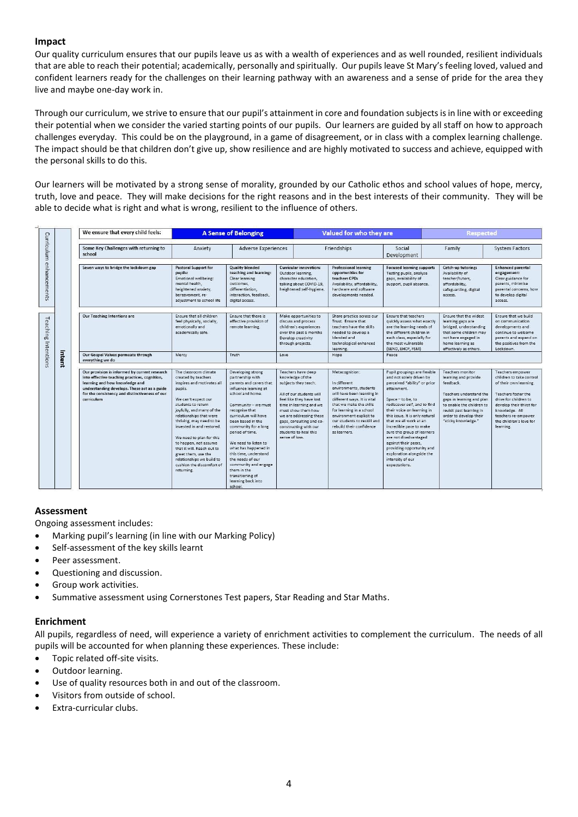#### **Impact**

Our quality curriculum ensures that our pupils leave us as with a wealth of experiences and as well rounded, resilient individuals that are able to reach their potential; academically, personally and spiritually. Our pupils leave St Mary's feeling loved, valued and confident learners ready for the challenges on their learning pathway with an awareness and a sense of pride for the area they live and maybe one-day work in.

Through our curriculum, we strive to ensure that our pupil's attainment in core and foundation subjects is in line with or exceeding their potential when we consider the varied starting points of our pupils. Our learners are guided by all staff on how to approach challenges everyday. This could be on the playground, in a game of disagreement, or in class with a complex learning challenge. The impact should be that children don't give up, show resilience and are highly motivated to success and achieve, equipped with the personal skills to do this.

Our learners will be motivated by a strong sense of morality, grounded by our Catholic ethos and school values of hope, mercy, truth, love and peace. They will make decisions for the right reasons and in the best interests of their community. They will be able to decide what is right and what is wrong, resilient to the influence of others.

|                            |        | We ensure that every child feels:                                                                                                                                                                                                                | <b>A Sense of Belonging</b>                                                                                                                                                                                                                                                                                                                                                                                                          |                                                                                                                                                                                                                                                                                                                                                                                                                                         |                                                                                                                                                                                                                                                                                                    | Valued for who they are                                                                                                                                                                                                                                                            |                                                                                                                                                                                                                                                                                                                                                                                                                                                                  |                                                                                                                                                                                                                                | <b>Respected</b>                                                                                                                                                                                                                    |  |
|----------------------------|--------|--------------------------------------------------------------------------------------------------------------------------------------------------------------------------------------------------------------------------------------------------|--------------------------------------------------------------------------------------------------------------------------------------------------------------------------------------------------------------------------------------------------------------------------------------------------------------------------------------------------------------------------------------------------------------------------------------|-----------------------------------------------------------------------------------------------------------------------------------------------------------------------------------------------------------------------------------------------------------------------------------------------------------------------------------------------------------------------------------------------------------------------------------------|----------------------------------------------------------------------------------------------------------------------------------------------------------------------------------------------------------------------------------------------------------------------------------------------------|------------------------------------------------------------------------------------------------------------------------------------------------------------------------------------------------------------------------------------------------------------------------------------|------------------------------------------------------------------------------------------------------------------------------------------------------------------------------------------------------------------------------------------------------------------------------------------------------------------------------------------------------------------------------------------------------------------------------------------------------------------|--------------------------------------------------------------------------------------------------------------------------------------------------------------------------------------------------------------------------------|-------------------------------------------------------------------------------------------------------------------------------------------------------------------------------------------------------------------------------------|--|
| Curriculum                 |        | Some Key Challenges with returning to<br>school                                                                                                                                                                                                  | Anxiety                                                                                                                                                                                                                                                                                                                                                                                                                              | <b>Adverse Experiences</b>                                                                                                                                                                                                                                                                                                                                                                                                              |                                                                                                                                                                                                                                                                                                    | Friendships                                                                                                                                                                                                                                                                        |                                                                                                                                                                                                                                                                                                                                                                                                                                                                  | Family                                                                                                                                                                                                                         | <b>System Factors</b>                                                                                                                                                                                                               |  |
| enhancements               |        | Seven ways to bridge the lockdown gap                                                                                                                                                                                                            | <b>Pastoral Support for</b><br>pupils:<br>Emotional wellbeing:<br>mental health.<br>heightened anxiety,<br>bereavement, re-<br>adjustment to school life                                                                                                                                                                                                                                                                             | <b>Quality blended</b><br>teaching and learning:<br>Clear learning<br>outcomes.<br>differentiation.<br>interaction, feedback,<br>digital access.                                                                                                                                                                                                                                                                                        | <b>Curricular innovation:</b><br>Outdoor learning.<br>character education,<br>talking about COVID-19,<br>heightened self-hygiene.                                                                                                                                                                  | <b>Professional learning</b><br>opportunities for<br>teachers CPD:<br>Availability, affordability,<br>hardware and software<br>developments needed.                                                                                                                                | <b>Focused learning support:</b><br>Testing pupils, analyse<br>gaps, availability of<br>support, pupil absence.                                                                                                                                                                                                                                                                                                                                                  | Catch-up tutoring:<br>Availability of<br>teacher/tutors.<br>affordability,<br>safeguarding, digital<br>access.                                                                                                                 | <b>Enhanced parental</b><br>engagement:<br>Clear guidance for<br>parents, minimise<br>parental concerns, how<br>to develop digital<br>access.                                                                                       |  |
| <b>Teaching Intentions</b> |        | <b>Our Teaching Intentions are</b>                                                                                                                                                                                                               | Ensure that all children<br>feel physically, socially,<br>emotionally and<br>academically safe.                                                                                                                                                                                                                                                                                                                                      | Ensure that there is<br>effective provision of<br>remote learning.                                                                                                                                                                                                                                                                                                                                                                      | Make opportunities to<br>discuss and process<br>children's experiences<br>over the past 6 months<br>Develop creativity<br>through projects.                                                                                                                                                        | Share practice across our<br>Trust. Ensure that<br>teachers have the skills<br>needed to develop a<br>blended and<br>technological enhanced<br>learning.                                                                                                                           | Ensure that teachers<br>quickly assess what exactly<br>are the learning needs of<br>the different children in<br>each class, especially for<br>the most vulnerable<br>(SEND, EHCP, FSM)                                                                                                                                                                                                                                                                          | Ensure that the widest<br>learning gaps are<br>bridged, understanding<br>that some children may<br>not have engaged in<br>home learning as<br>effectively as others.                                                           | Ensure that we build<br>on communication<br>developments and<br>continue to welcome<br>parents and expand on<br>the positives from the<br>Lockdown.                                                                                 |  |
|                            | Intent | Our Gospel Values permeate through<br>everything we do                                                                                                                                                                                           | Mercy                                                                                                                                                                                                                                                                                                                                                                                                                                | Truth                                                                                                                                                                                                                                                                                                                                                                                                                                   | Love                                                                                                                                                                                                                                                                                               | Hope                                                                                                                                                                                                                                                                               | Peace                                                                                                                                                                                                                                                                                                                                                                                                                                                            |                                                                                                                                                                                                                                |                                                                                                                                                                                                                                     |  |
|                            |        | Our provision is informed by current research<br>into effective teaching practices, cognition,<br>learning and how knowledge and<br>understanding develops. These act as a guide<br>for the consistency and distinctiveness of our<br>curriculum | The classroom climate<br>created by teachers<br>inspires and motivates all<br>pupils.<br>We can't expect our<br>students to return<br>joyfully, and many of the<br>relationships that were<br>thriving, may need to be<br>invested in and restored<br>We need to plan for this<br>to happen, not assume<br>that it will. Reach out to<br>greet them, use the<br>relationships we build to<br>cushion the discomfort of<br>returning. | Developing strong<br>partnership with<br>parents and carers that<br>influence learning at<br>school and home.<br>Community - we must<br>recognise that<br>curriculum will have<br>been based in the<br>community for a long<br>period of time.<br>We need to listen to<br>what has happened in<br>this time, understand<br>the needs of our<br>community and engage<br>them in the<br>transitioning of<br>learning back into<br>school. | Teachers have deep<br>knowledge of the<br>subjects they teach.<br>All of our students will<br>feel like they have lost<br>time in learning and we<br>must show them how<br>we are addressing these<br>gaps, consulting and co-<br>constructing with our<br>students to heal this<br>sense of loss. | Metacognition:<br>In different<br>environments, students<br>will have been learning in<br>different ways, It is vital<br>that we make the skills<br>for learning in a school<br>environment explicit to<br>our students to reskill and<br>rebuild their confidence<br>as learners. | Pupil groupings are flexible<br>and not solely driven by<br>perceived "ability" or prior<br>attainment.<br>Space - to be, to<br>rediscover self, and to find<br>their voice on learning in<br>this issue. It is only natural<br>that we all work at an<br>incredible pace to make<br>sure this group of learners<br>are not disadvantaged<br>against their peers,<br>providing opportunity and<br>exploration alongside the<br>intensity of our<br>expectations. | <b>Teachers monitor</b><br>learning and provide<br>feedback.<br>Teachers understand the<br>gaps in learning and plan<br>to enable the children to<br>revisit past learning in<br>order to develop their<br>"sticky knowledge." | Teachers empower<br>children to take control<br>of their own learning.<br>Teachers foster the<br>drive for children to<br>develop their thirst for<br>knowledge. All<br>teachers re-empower<br>the children's love for<br>learning. |  |

### **Assessment**

Ongoing assessment includes:

- Marking pupil's learning (in line with our Marking Policy)
- Self-assessment of the key skills learnt
- Peer assessment.
- Questioning and discussion.
- Group work activities.
- Summative assessment using Cornerstones Test papers, Star Reading and Star Maths.

#### **Enrichment**

All pupils, regardless of need, will experience a variety of enrichment activities to complement the curriculum. The needs of all pupils will be accounted for when planning these experiences. These include:

- Topic related off-site visits.
- Outdoor learning.
- Use of quality resources both in and out of the classroom.
- Visitors from outside of school.
- Extra-curricular clubs.